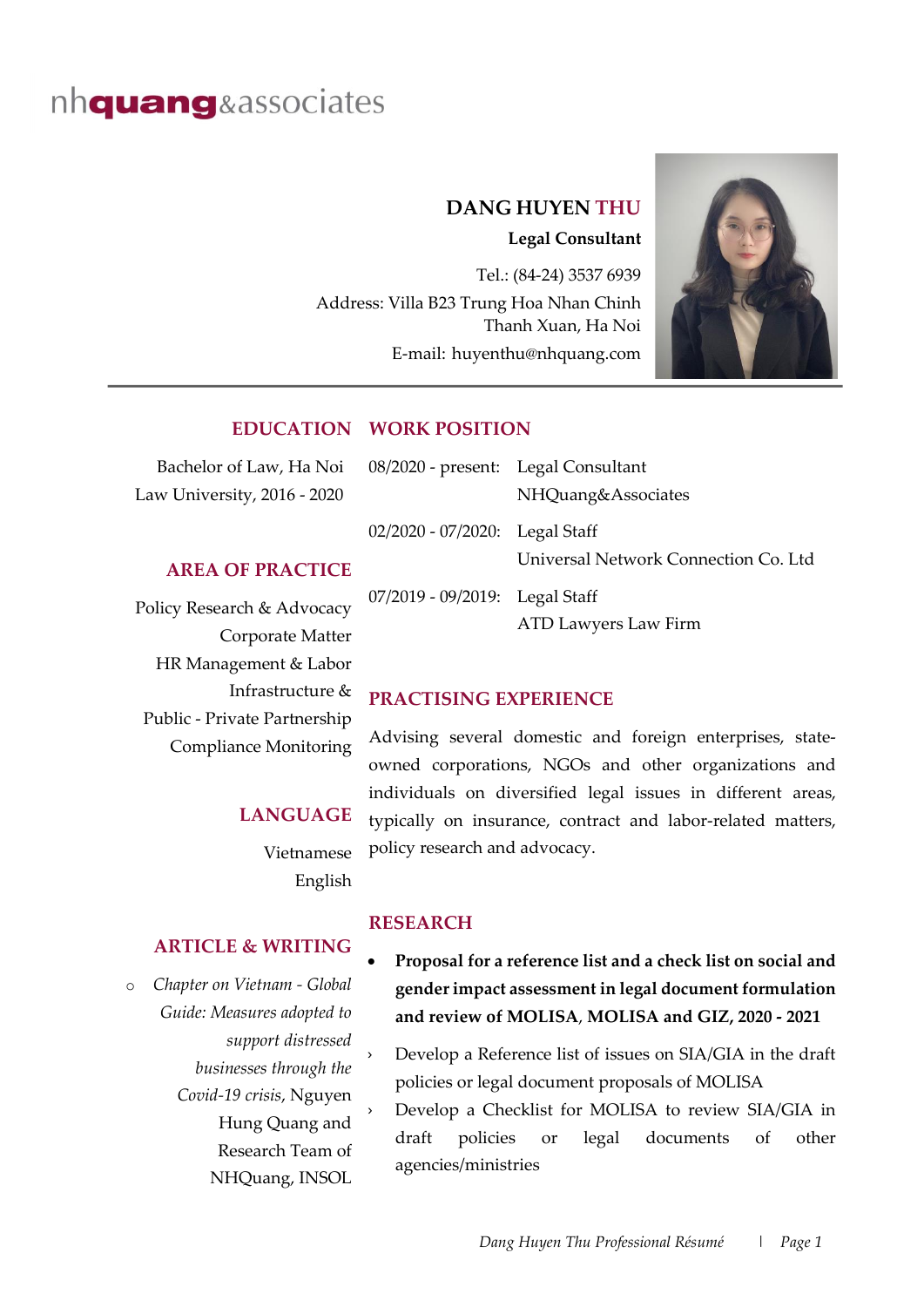# nh**quang**&associates

### **DANG HUYEN THU**

**Legal Consultant**

Tel.: (84-24) 3537 6939 Address: Villa B23 Trung Hoa Nhan Chinh Thanh Xuan, Ha Noi E-mail: huyenthu@nhquang.com



### **EDUCATION WORK POSITION**

| Bachelor of Law, Ha Noi                        | 08/2020 - present: Legal Consultant |                                      |
|------------------------------------------------|-------------------------------------|--------------------------------------|
| Law University, 2016 - 2020                    |                                     | NHQuang&Associates                   |
|                                                | 02/2020 - 07/2020: Legal Staff      |                                      |
| <b>AREA OF PRACTICE</b>                        |                                     | Universal Network Connection Co. Ltd |
| Policy Research & Advocacy<br>Corporate Matter | 07/2019 - 09/2019: Legal Staff      | ATD Lawyers Law Firm                 |

## **PRACTISING EXPERIENCE**

Advising several domestic and foreign enterprises, stateowned corporations, NGOs and other organizations and individuals on diversified legal issues in different areas, typically on insurance, contract and labor-related matters, policy research and advocacy.

Vietnamese English

**LANGUAGE**

#### **ARTICLE & WRITING**

HR Management & Labor

Public - Private Partnership Compliance Monitoring

Infrastructure &

o *Chapter on Vietnam - Global Guide: Measures adopted to support distressed businesses through the Covid-19 crisis*, Nguyen Hung Quang and Research Team of NHQuang, INSOL

#### **RESEARCH**

- **Proposal for a reference list and a check list on social and gender impact assessment in legal document formulation and review of MOLISA**, **MOLISA and GIZ, 2020 - 2021**
- Develop a Reference list of issues on SIA/GIA in the draft policies or legal document proposals of MOLISA
- Develop a Checklist for MOLISA to review SIA/GIA in draft policies or legal documents of other agencies/ministries